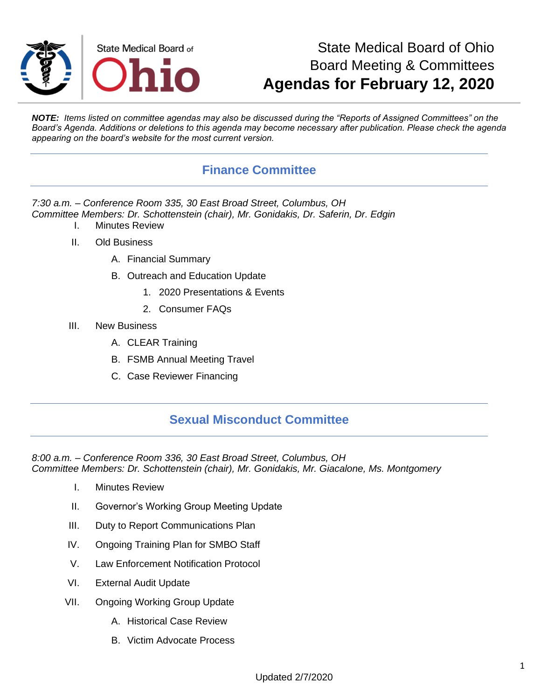

## State Medical Board of Ohio Board Meeting & Committees **Agendas for February 12, 2020**

*NOTE: Items listed on committee agendas may also be discussed during the "Reports of Assigned Committees" on the Board's Agenda. Additions or deletions to this agenda may become necessary after publication. Please check the agenda appearing on the board's website for the most current version.*

### **Finance Committee**

*7:30 a.m. – Conference Room 335, 30 East Broad Street, Columbus, OH Committee Members: Dr. Schottenstein (chair), Mr. Gonidakis, Dr. Saferin, Dr. Edgin*

- I. Minutes Review
- II. Old Business
	- A. Financial Summary
	- B. Outreach and Education Update
		- 1. 2020 Presentations & Events
		- 2. Consumer FAQs
- III. New Business
	- A. CLEAR Training
	- B. FSMB Annual Meeting Travel
	- C. Case Reviewer Financing

### **Sexual Misconduct Committee**

*8:00 a.m. – Conference Room 336, 30 East Broad Street, Columbus, OH Committee Members: Dr. Schottenstein (chair), Mr. Gonidakis, Mr. Giacalone, Ms. Montgomery*

- I. Minutes Review
- II. Governor's Working Group Meeting Update
- III. Duty to Report Communications Plan
- IV. Ongoing Training Plan for SMBO Staff
- V. Law Enforcement Notification Protocol
- VI. External Audit Update
- VII. Ongoing Working Group Update
	- A. Historical Case Review
	- B. Victim Advocate Process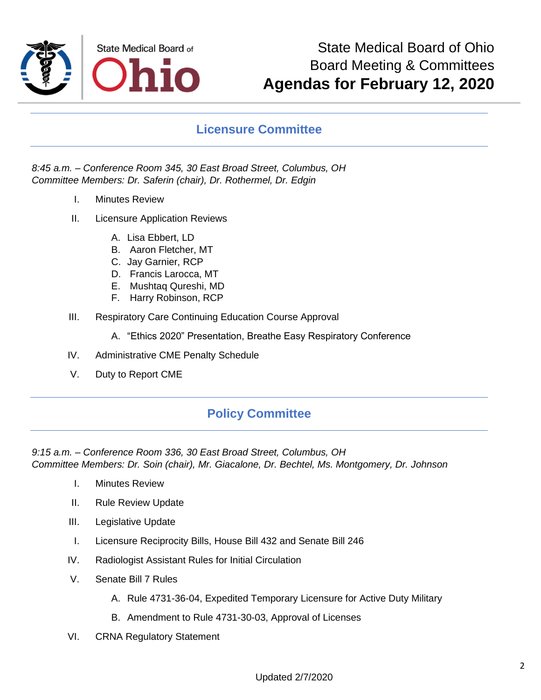

#### **Licensure Committee**

#### *8:45 a.m. – Conference Room 345, 30 East Broad Street, Columbus, OH Committee Members: Dr. Saferin (chair), Dr. Rothermel, Dr. Edgin*

- I. Minutes Review
- II. Licensure Application Reviews
	- A. Lisa Ebbert, LD
	- B. Aaron Fletcher, MT
	- C. Jay Garnier, RCP
	- D. Francis Larocca, MT
	- E. Mushtaq Qureshi, MD
	- F. Harry Robinson, RCP
- III. Respiratory Care Continuing Education Course Approval
	- A. "Ethics 2020" Presentation, Breathe Easy Respiratory Conference
- IV. Administrative CME Penalty Schedule
- V. Duty to Report CME

#### **Policy Committee**

*9:15 a.m. – Conference Room 336, 30 East Broad Street, Columbus, OH Committee Members: Dr. Soin (chair), Mr. Giacalone, Dr. Bechtel, Ms. Montgomery, Dr. Johnson*

- I. Minutes Review
- II. Rule Review Update
- III. Legislative Update
- I. Licensure Reciprocity Bills, House Bill 432 and Senate Bill 246
- IV. Radiologist Assistant Rules for Initial Circulation
- V. Senate Bill 7 Rules
	- A. Rule 4731-36-04, Expedited Temporary Licensure for Active Duty Military
	- B. Amendment to Rule 4731-30-03, Approval of Licenses
- VI. CRNA Regulatory Statement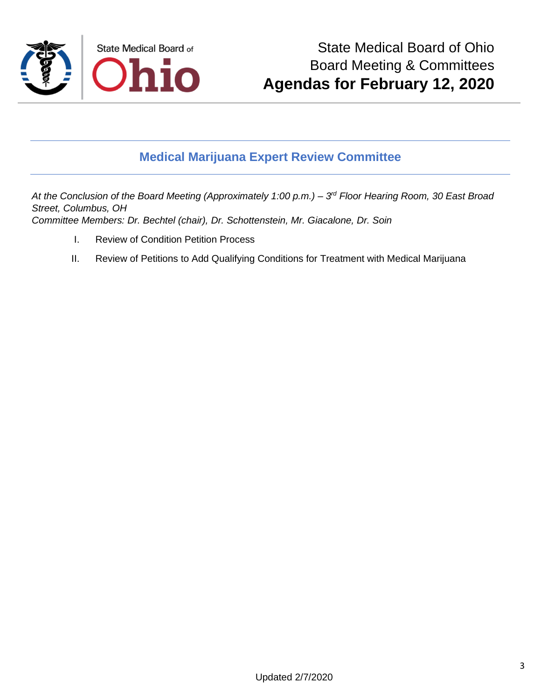

## **Medical Marijuana Expert Review Committee**

At the Conclusion of the Board Meeting (Approximately 1:00 p.m.) – 3<sup>rd</sup> Floor Hearing Room, 30 East Broad *Street, Columbus, OH Committee Members: Dr. Bechtel (chair), Dr. Schottenstein, Mr. Giacalone, Dr. Soin*

- I. Review of Condition Petition Process
- II. Review of Petitions to Add Qualifying Conditions for Treatment with Medical Marijuana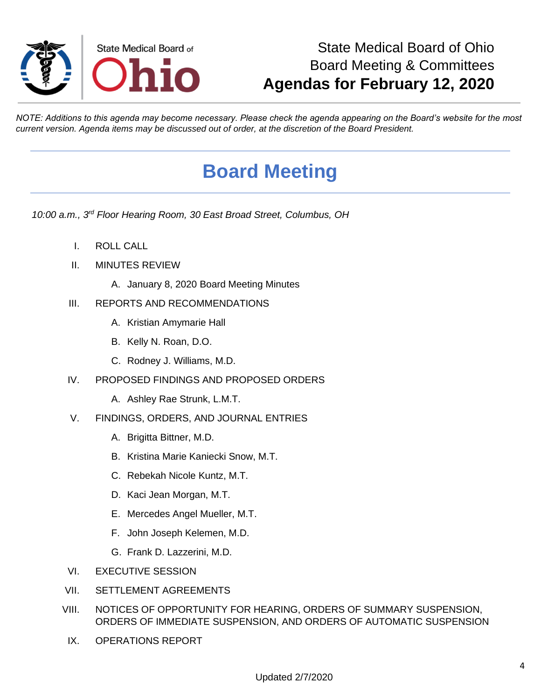

# State Medical Board of Ohio Board Meeting & Committees **Agendas for February 12, 2020**

*NOTE: Additions to this agenda may become necessary. Please check the agenda appearing on the Board's website for the most current version. Agenda items may be discussed out of order, at the discretion of the Board President.*

# **Board Meeting**

*10:00 a.m., 3rd Floor Hearing Room, 30 East Broad Street, Columbus, OH*

- I. ROLL CALL
- II. MINUTES REVIEW
	- A. January 8, 2020 Board Meeting Minutes
- III. REPORTS AND RECOMMENDATIONS
	- A. Kristian Amymarie Hall
	- B. Kelly N. Roan, D.O.
	- C. Rodney J. Williams, M.D.
- IV. PROPOSED FINDINGS AND PROPOSED ORDERS
	- A. Ashley Rae Strunk, L.M.T.
- V. FINDINGS, ORDERS, AND JOURNAL ENTRIES
	- A. Brigitta Bittner, M.D.
	- B. Kristina Marie Kaniecki Snow, M.T.
	- C. Rebekah Nicole Kuntz, M.T.
	- D. Kaci Jean Morgan, M.T.
	- E. Mercedes Angel Mueller, M.T.
	- F. John Joseph Kelemen, M.D.
	- G. Frank D. Lazzerini, M.D.
- VI. EXECUTIVE SESSION
- VII. SETTLEMENT AGREEMENTS
- VIII. NOTICES OF OPPORTUNITY FOR HEARING, ORDERS OF SUMMARY SUSPENSION, ORDERS OF IMMEDIATE SUSPENSION, AND ORDERS OF AUTOMATIC SUSPENSION
- IX. OPERATIONS REPORT